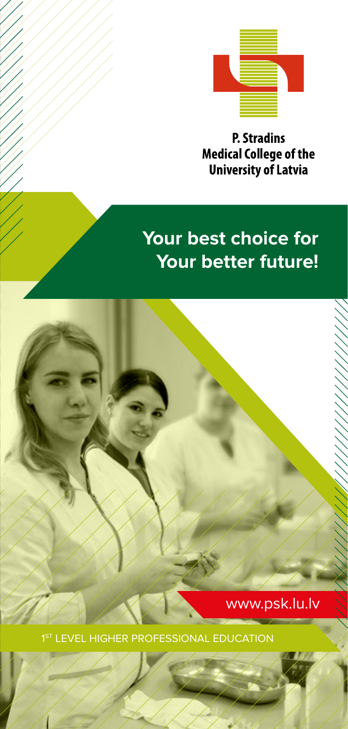

**P. Stradins Medical College of the University of Latvia** 

# **Your best choice for Your better future!**

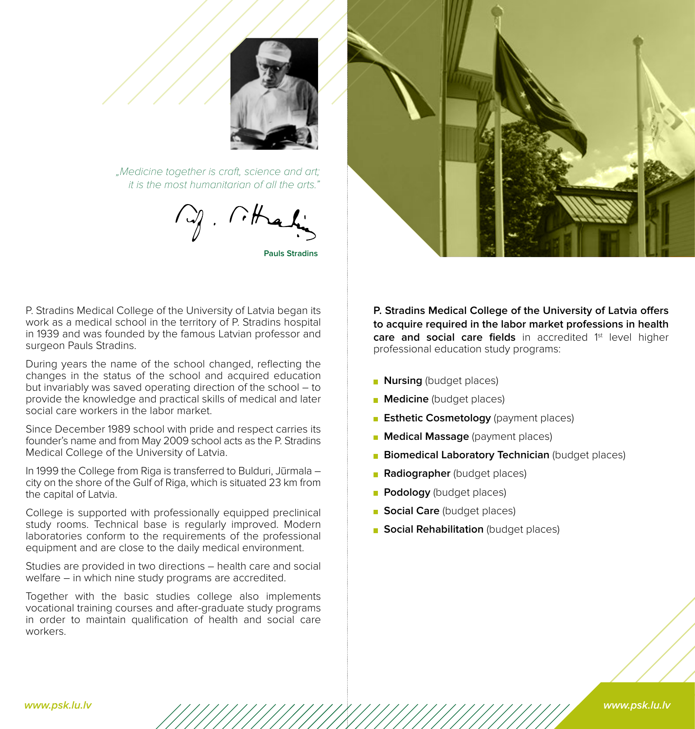

 "Medicine together is craft, science and art; it is the most humanitarian of all the arts."

**Pauls Stradins**

P. Stradins Medical College of the University of Latvia began its work as a medical school in the territory of P. Stradins hospital in 1939 and was founded by the famous Latvian professor and surgeon Pauls Stradins.

During years the name of the school changed, reflecting the changes in the status of the school and acquired education but invariably was saved operating direction of the school – to provide the knowledge and practical skills of medical and later social care workers in the labor market.

Since December 1989 school with pride and respect carries its founder's name and from May 2009 school acts as the P. Stradins Medical College of the University of Latvia.

In 1999 the College from Riga is transferred to Bulduri, Jūrmala – city on the shore of the Gulf of Riga, which is situated 23 km from the capital of Latvia.

College is supported with professionally equipped preclinical study rooms. Technical base is regularly improved. Modern laboratories conform to the requirements of the professional equipment and are close to the daily medical environment.

Studies are provided in two directions – health care and social welfare – in which nine study programs are accredited.

Together with the basic studies college also implements vocational training courses and after-graduate study programs in order to maintain qualification of health and social care workers.

**P. Stradins Medical College of the University of Latvia offers to acquire required in the labor market professions in health**  care and social care fields in accredited 1<sup>st</sup> level higher professional education study programs:

- **Nursing** (budget places)
- **Medicine** (budget places)
- **Esthetic Cosmetology** (payment places)
- **Medical Massage** (payment places)
- **Biomedical Laboratory Technician** (budget places)
- **Radiographer** (budget places)
- **Podology** (budget places)
- **Social Care** (budget places)
- **Social Rehabilitation** (budget places)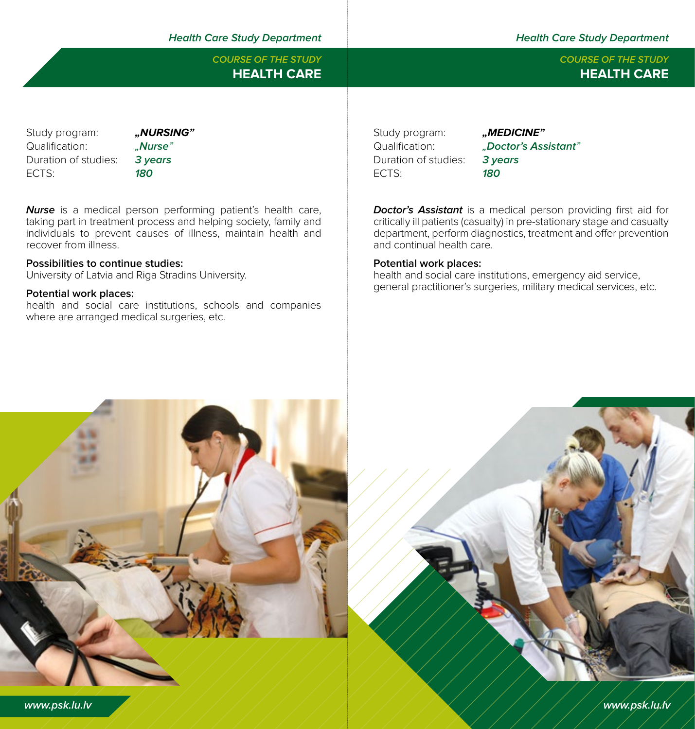# **Health Care Study Department Health Care Study Department**

# **HEALTH CARE HEALTH CARE COURSE OF THE STUDY COURSE OF THE STUDY**

Study program: **"***"***<br>
Multication:** "Allamication" **Nurse** Qualification<sup>.</sup> Duration of studies: **3 years** ECTS: **180**

**Nurse** is a medical person performing patient's health care, taking part in treatment process and helping society, family and individuals to prevent causes of illness, maintain health and recover from illness.

# **Possibilities to continue studies:**

University of Latvia and Riga Stradins University.

# **Potential work places:**

health and social care institutions, schools and companies where are arranged medical surgeries, etc.

Study program: "**MEDICINE"** Duration of studies: **3 years** ECTS: **180**

Qualification: "**Doctor's Assistant**"

**Doctor's Assistant** is a medical person providing first aid for critically ill patients (casualty) in pre-stationary stage and casualty department, perform diagnostics, treatment and offer prevention and continual health care.

### **Potential work places:**

health and social care institutions, emergency aid service, general practitioner's surgeries, military medical services, etc.



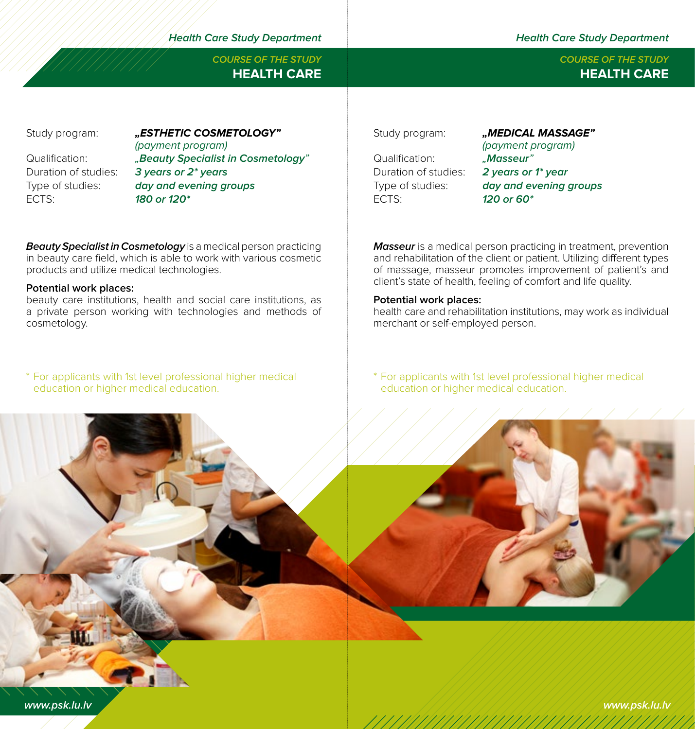**Health Care Study Department Health Care Study Department**

**COURSE OF THE STUDY COURSE OF THE STUDY**

Study program: **"ESTHETIC COSMETOLOGY**"

ECTS: **180 or 120\***

(payment program) Qualification: **" Beauty Specialist in Cosmetology**<br>Duration of studies: **3 years or 2<sup>\*</sup> years** 3 years or 2<sup>\*</sup> years Type of studies: **day and evening groups**

**Beauty Specialist in Cosmetology** is a medical person practicing in beauty care field, which is able to work with various cosmetic products and utilize medical technologies.

# **Potential work places:**

beauty care institutions, health and social care institutions, as a private person working with technologies and methods of cosmetology.

\* For applicants with 1st level professional higher medical education or higher medical education.



Qualification: "**Masseur**"<br>Duration of studies: **2 vears or** ECTS: **120 or 60\***

(payment program) Duration of studies: **2 years or 1\* year** Type of studies: **day and evening groups**

**Masseur** is a medical person practicing in treatment, prevention and rehabilitation of the client or patient. Utilizing different types of massage, masseur promotes improvement of patient's and client's state of health, feeling of comfort and life quality.

# **Potential work places:**

health care and rehabilitation institutions, may work as individual merchant or self-employed person.

\* For applicants with 1st level professional higher medical education or higher medical education.





# **HEALTH CARE HEALTH CARE**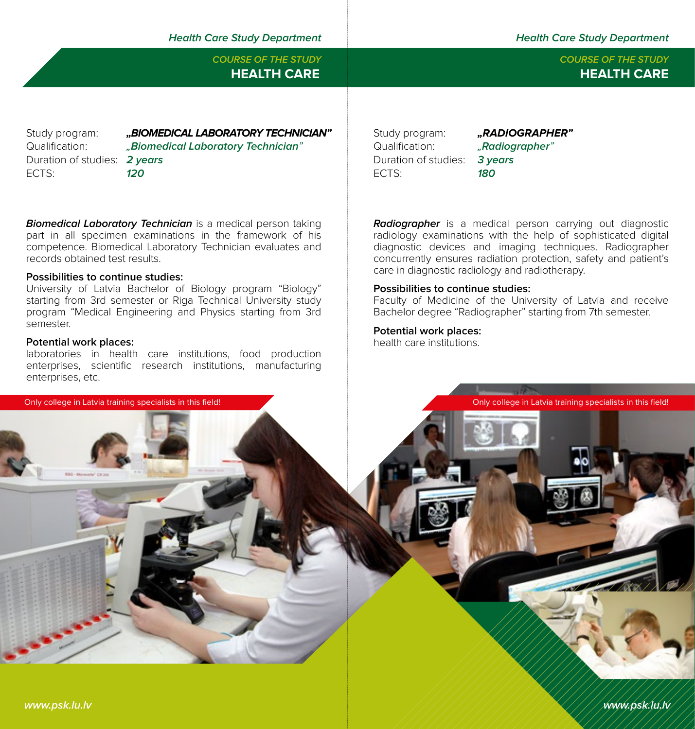**Health Care Study Department Health Care Study Department**

Duration of studies: **2 years** ECTS: **120**

Study program: **...BIOMEDICAL LABORATORY TECHNICIAN"** Qualification: "**Biomedical Laboratory Technician**"

**Biomedical Laboratory Technician** is a medical person taking part in all specimen examinations in the framework of his competence. Biomedical Laboratory Technician evaluates and records obtained test results.

### **Possibilities to continue studies:**

University of Latvia Bachelor of Biology program "Biology" starting from 3rd semester or Riga Technical University study program "Medical Engineering and Physics starting from 3rd semester.

### **Potential work places:**

laboratories in health care institutions, food production enterprises, scientific research institutions, manufacturing enterprises, etc.

Study program: **"RADIOGRAPHER"** Qualification: "**Radiographer**" Duration of studies: **3 years** ECTS: **180**

**Radiographer** is a medical person carrying out diagnostic radiology examinations with the help of sophisticated digital diagnostic devices and imaging techniques. Radiographer concurrently ensures radiation protection, safety and patient's care in diagnostic radiology and radiotherapy.

#### **Possibilities to continue studies:**

Faculty of Medicine of the University of Latvia and receive Bachelor degree "Radiographer" starting from 7th semester.

### **Potential work places:**

health care institutions.



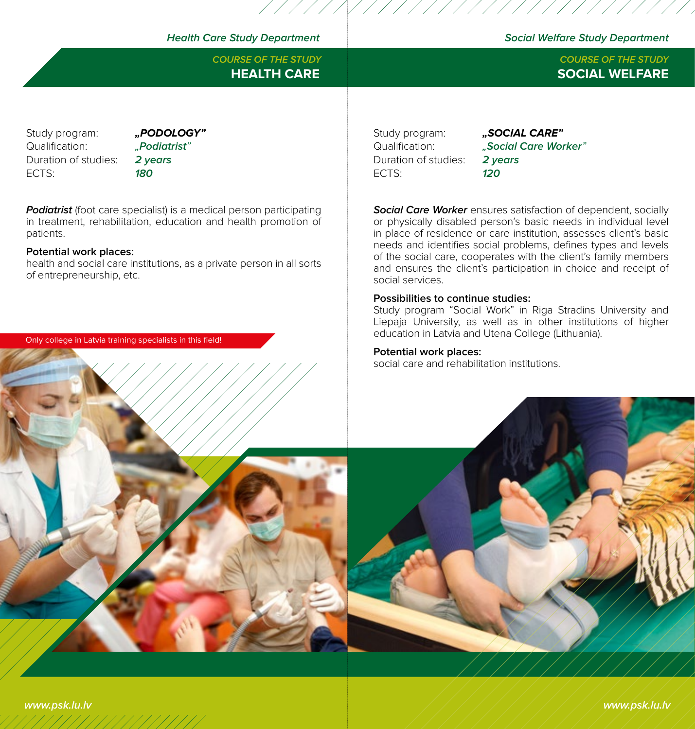# **Health Care Study Department Social Welfare Study Department**

Study program: **"PODOLOGY**" Qualification: "**Podiatrist**" Duration of studies: **2 years** ECTS: **180**

**Podiatrist** (foot care specialist) is a medical person participating in treatment, rehabilitation, education and health promotion of patients.

### **Potential work places:**

health and social care institutions, as a private person in all sorts of entrepreneurship, etc.

Only college in Latvia training specialists in this field!

Study program: **"SOCIAL CARE"** Duration of studies: **2 years** ECTS: **120**

Qualification: "**Social Care Worker**"

**Social Care Worker** ensures satisfaction of dependent, socially or physically disabled person's basic needs in individual level in place of residence or care institution, assesses client's basic needs and identifies social problems, defines types and levels of the social care, cooperates with the client's family members and ensures the client's participation in choice and receipt of social services.

# **Possibilities to continue studies:**

Study program "Social Work" in Riga Stradins University and Liepaja University, as well as in other institutions of higher education in Latvia and Utena College (Lithuania).

# **Potential work places:**

social care and rehabilitation institutions.



//////////

# **HEALTH CARE SOCIAL WELFARE COURSE OF THE STUDY COURSE OF THE STUDY**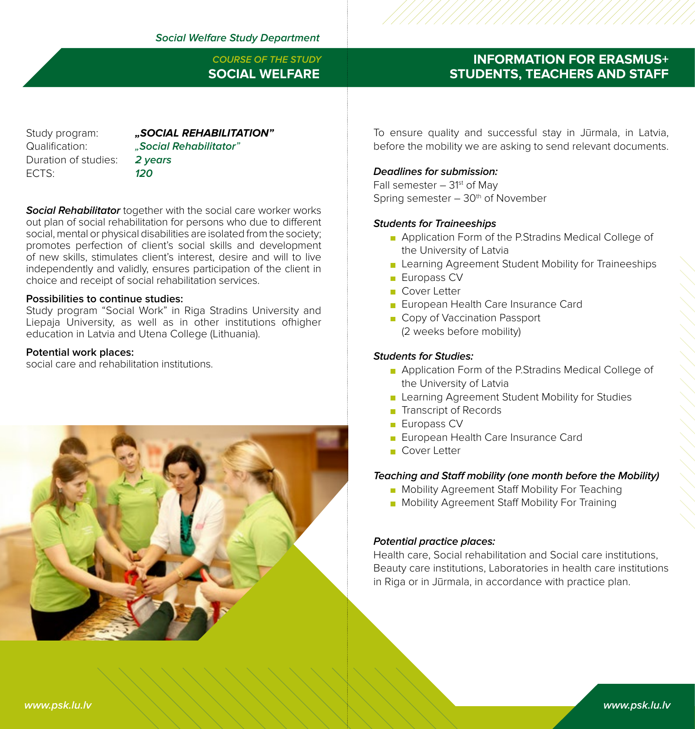**SOCIAL WELFARE COURSE OF THE STUDY**

Duration of studies: **2 years** ECTS: **120**

Study program: **"SOCIAL REHABILITATION"** Qualification: "**Social Rehabilitator**"

**Social Rehabilitator** together with the social care worker works out plan of social rehabilitation for persons who due to different social, mental or physical disabilities are isolated from the society; promotes perfection of client's social skills and development of new skills, stimulates client's interest, desire and will to live independently and validly, ensures participation of the client in choice and receipt of social rehabilitation services.

## **Possibilities to continue studies:**

Study program "Social Work" in Riga Stradins University and Liepaja University, as well as in other institutions ofhigher education in Latvia and Utena College (Lithuania).

### **Potential work places:**

social care and rehabilitation institutions.



# **INFORMATION FOR ERASMUS+ STUDENTS, TEACHERS AND STAFF**

To ensure quality and successful stay in Jūrmala, in Latvia, before the mobility we are asking to send relevant documents.

# **Deadlines for submission:**

Fall semester  $-31<sup>st</sup>$  of May Spring semester  $-30<sup>th</sup>$  of November

# **Students for Traineeships**

- **Application Form of the P.Stradins Medical College of** the University of Latvia
- **Learning Agreement Student Mobility for Traineeships**
- **Europass CV**
- Cover Letter
- **European Health Care Insurance Card**
- Copy of Vaccination Passport (2 weeks before mobility)

# **Students for Studies:**

- **Application Form of the P.Stradins Medical College of** the University of Latvia
- **Learning Agreement Student Mobility for Studies**
- **Transcript of Records**
- **Europass CV**
- **European Health Care Insurance Card**
- Cover Letter

# **Teaching and Staff mobility (one month before the Mobility)**

- **Mobility Agreement Staff Mobility For Teaching**
- **Mobility Agreement Staff Mobility For Training**

# **Potential practice places:**

Health care, Social rehabilitation and Social care institutions, Beauty care institutions, Laboratories in health care institutions in Riga or in Jūrmala, in accordance with practice plan.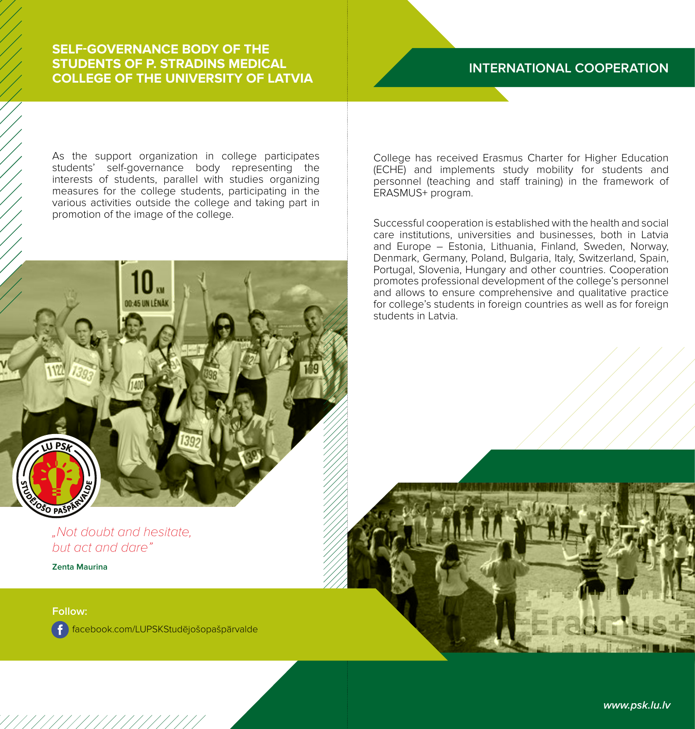# **SELF-GOVERNANCE BODY OF THE STUDENTS OF P. STRADINS MEDICAL COLLEGE OF THE UNIVERSITY OF LATVIA**

As the support organization in college participates students' self-governance body representing the interests of students, parallel with studies organizing measures for the college students, participating in the various activities outside the college and taking part in promotion of the image of the college.

"Not doubt and hesitate, but act and dare"

**Zenta Maurina**

# **Follow:**

**DA** 

facebook.com/LUPSKStudējošopašpārvalde

# **INTERNATIONAL COOPERATION**

College has received Erasmus Charter for Higher Education (ECHE) and implements study mobility for students and personnel (teaching and staff training) in the framework of ERASMUS+ program.

Successful cooperation is established with the health and social care institutions, universities and businesses, both in Latvia and Europe – Estonia, Lithuania, Finland, Sweden, Norway, Denmark, Germany, Poland, Bulgaria, Italy, Switzerland, Spain, Portugal, Slovenia, Hungary and other countries. Cooperation promotes professional development of the college's personnel and allows to ensure comprehensive and qualitative practice for college's students in foreign countries as well as for foreign students in Latvia.